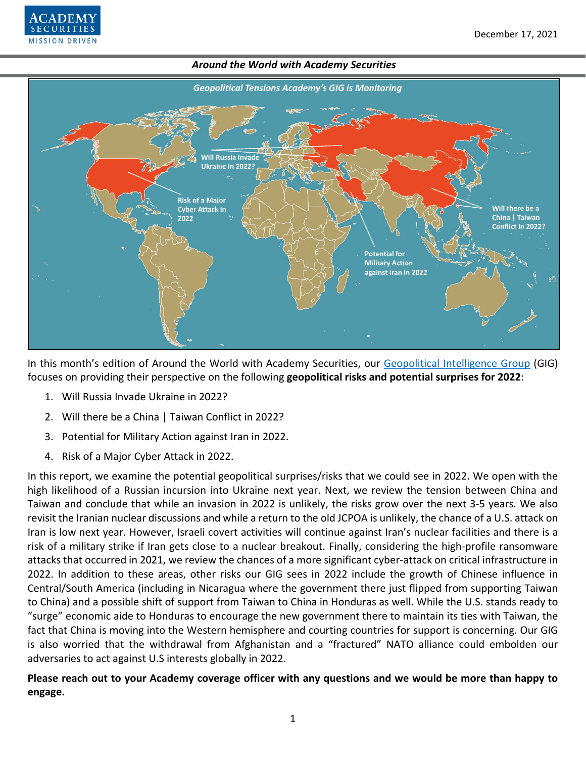

# *Around the World with Academy Securities Geopolitical Tensions Academy's GIG is Monitoring* **Will there be a China | Taiwan Conflict in 2022? Potential for Military Action against Iran in 2022 Risk of a Major Cyber Attack in 2022 Will Russia Invad Ukraine in 2022?**

In this month's edition of Around the World with Academy Securities, our [Geopolitical Intelligence Group](https://www.academysecurities.com/geopolitical/geopolitical-intelligence-group/) (GIG) focuses on providing their perspective on the following **geopolitical risks and potential surprises for 2022**:

- 1. Will Russia Invade Ukraine in 2022?
- 2. Will there be a China | Taiwan Conflict in 2022?
- 3. Potential for Military Action against Iran in 2022.
- 4. Risk of a Major Cyber Attack in 2022.

In this report, we examine the potential geopolitical surprises/risks that we could see in 2022. We open with the high likelihood of a Russian incursion into Ukraine next year. Next, we review the tension between China and Taiwan and conclude that while an invasion in 2022 is unlikely, the risks grow over the next 3-5 years. We also revisit the Iranian nuclear discussions and while a return to the old JCPOA is unlikely, the chance of a U.S. attack on Iran is low next year. However, Israeli covert activities will continue against Iran's nuclear facilities and there is a risk of a military strike if Iran gets close to a nuclear breakout. Finally, considering the high-profile ransomware attacks that occurred in 2021, we review the chances of a more significant cyber-attack on critical infrastructure in 2022. In addition to these areas, other risks our GIG sees in 2022 include the growth of Chinese influence in Central/South America (including in Nicaragua where the government there just flipped from supporting Taiwan to China) and a possible shift of support from Taiwan to China in Honduras as well. While the U.S. stands ready to "surge" economic aide to Honduras to encourage the new government there to maintain its ties with Taiwan, the fact that China is moving into the Western hemisphere and courting countries for support is concerning. Our GIG is also worried that the withdrawal from Afghanistan and a "fractured" NATO alliance could embolden our adversaries to act against U.S interests globally in 2022.

**Please reach out to your Academy coverage officer with any questions and we would be more than happy to engage.**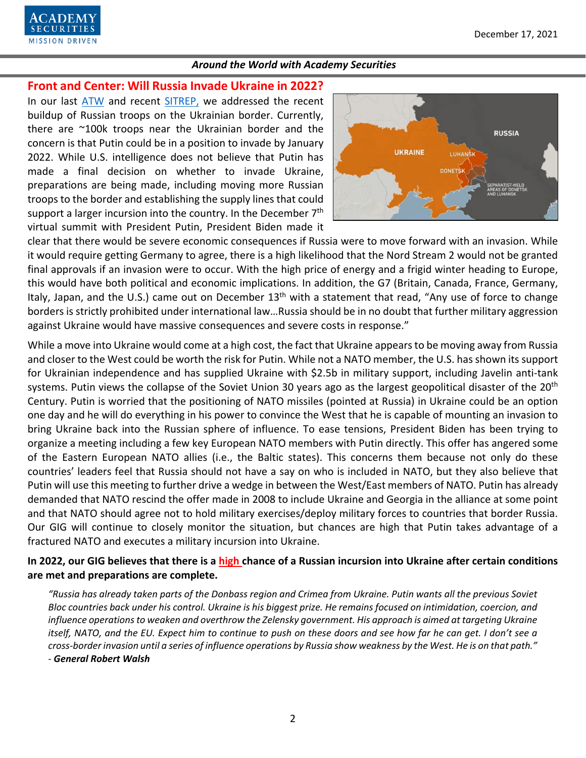

## **Front and Center: Will Russia Invade Ukraine in 2022?**

In our last [ATW](https://www.academysecurities.com/wordpress/wp-content/uploads/2021/11/Around-the-World-with-Academy-Securities_11_30_21.pdf) and recent [SITREP,](https://www.academysecurities.com/will-russia-invade-ukraine/) we addressed the recent buildup of Russian troops on the Ukrainian border. Currently, there are ~100k troops near the Ukrainian border and the concern is that Putin could be in a position to invade by January 2022. While U.S. intelligence does not believe that Putin has made a final decision on whether to invade Ukraine, preparations are being made, including moving more Russian troops to the border and establishing the supply lines that could support a larger incursion into the country. In the December 7<sup>th</sup> virtual summit with President Putin, President Biden made it



clear that there would be severe economic consequences if Russia were to move forward with an invasion. While it would require getting Germany to agree, there is a high likelihood that the Nord Stream 2 would not be granted final approvals if an invasion were to occur. With the high price of energy and a frigid winter heading to Europe, this would have both political and economic implications. In addition, the G7 (Britain, Canada, France, Germany, Italy, Japan, and the U.S.) came out on December  $13<sup>th</sup>$  with a statement that read, "Any use of force to change borders is strictly prohibited under international law…Russia should be in no doubt that further military aggression against Ukraine would have massive consequences and severe costs in response."

While a move into Ukraine would come at a high cost, the fact that Ukraine appears to be moving away from Russia and closer to the West could be worth the risk for Putin. While not a NATO member, the U.S. has shown its support for Ukrainian independence and has supplied Ukraine with \$2.5b in military support, including Javelin anti-tank systems. Putin views the collapse of the Soviet Union 30 years ago as the largest geopolitical disaster of the 20<sup>th</sup> Century. Putin is worried that the positioning of NATO missiles (pointed at Russia) in Ukraine could be an option one day and he will do everything in his power to convince the West that he is capable of mounting an invasion to bring Ukraine back into the Russian sphere of influence. To ease tensions, President Biden has been trying to organize a meeting including a few key European NATO members with Putin directly. This offer has angered some of the Eastern European NATO allies (i.e., the Baltic states). This concerns them because not only do these countries' leaders feel that Russia should not have a say on who is included in NATO, but they also believe that Putin will use this meeting to further drive a wedge in between the West/East members of NATO. Putin has already demanded that NATO rescind the offer made in 2008 to include Ukraine and Georgia in the alliance at some point and that NATO should agree not to hold military exercises/deploy military forces to countries that border Russia. Our GIG will continue to closely monitor the situation, but chances are high that Putin takes advantage of a fractured NATO and executes a military incursion into Ukraine.

# **In 2022, our GIG believes that there is a high chance of a Russian incursion into Ukraine after certain conditions are met and preparations are complete.**

*"Russia has already taken parts of the Donbass region and Crimea from Ukraine. Putin wants all the previous Soviet Bloc countries back under his control. Ukraine is his biggest prize. He remains focused on intimidation, coercion, and influence operations to weaken and overthrow the Zelensky government. His approach is aimed at targeting Ukraine itself, NATO, and the EU. Expect him to continue to push on these doors and see how far he can get. I don't see a cross-border invasion until a series of influence operations by Russia show weakness by the West. He is on that path." - General Robert Walsh*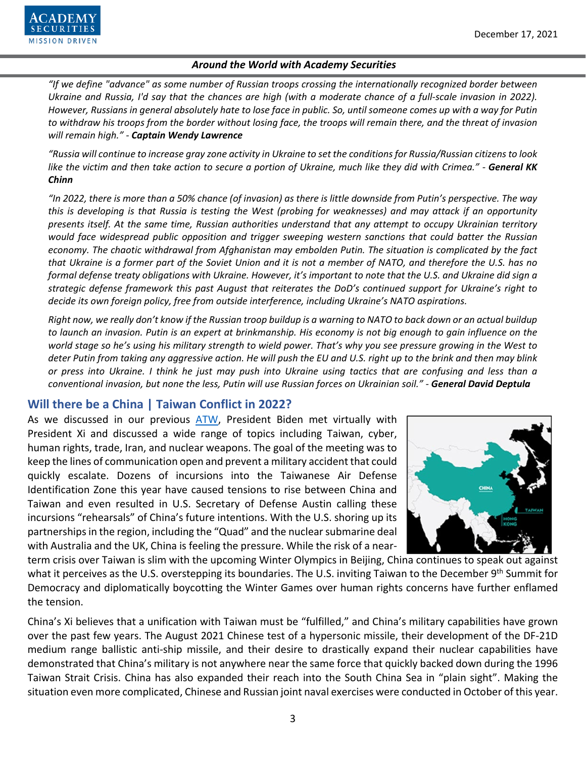

*"If we define "advance" as some number of Russian troops crossing the internationally recognized border between Ukraine and Russia, I'd say that the chances are high (with a moderate chance of a full-scale invasion in 2022). However, Russians in general absolutely hate to lose face in public. So, until someone comes up with a way for Putin to withdraw his troops from the border without losing face, the troops will remain there, and the threat of invasion will remain high." - Captain Wendy Lawrence*

*"Russia will continue to increase gray zone activity in Ukraine to set the conditions for Russia/Russian citizens to look like the victim and then take action to secure a portion of Ukraine, much like they did with Crimea." - General KK Chinn*

*"In 2022, there is more than a 50% chance (of invasion) as there is little downside from Putin's perspective. The way this is developing is that Russia is testing the West (probing for weaknesses) and may attack if an opportunity presents itself. At the same time, Russian authorities understand that any attempt to occupy Ukrainian territory would face widespread public opposition and trigger sweeping western sanctions that could batter the Russian economy. The chaotic withdrawal from Afghanistan may embolden Putin. The situation is complicated by the fact that Ukraine is a former part of the Soviet Union and it is not a member of NATO, and therefore the U.S. has no formal defense treaty obligations with Ukraine. However, it's important to note that the U.S. and Ukraine did sign a strategic defense framework this past August that reiterates the DoD's continued support for Ukraine's right to decide its own foreign policy, free from outside interference, including Ukraine's NATO aspirations.* 

*Right now, we really don't know if the Russian troop buildup is a warning to NATO to back down or an actual buildup to launch an invasion. Putin is an expert at brinkmanship. His economy is not big enough to gain influence on the world stage so he's using his military strength to wield power. That's why you see pressure growing in the West to deter Putin from taking any aggressive action. He will push the EU and U.S. right up to the brink and then may blink or press into Ukraine. I think he just may push into Ukraine using tactics that are confusing and less than a conventional invasion, but none the less, Putin will use Russian forces on Ukrainian soil." - General David Deptula*

# **Will there be a China | Taiwan Conflict in 2022?**

As we discussed in our previous [ATW,](https://www.academysecurities.com/wordpress/wp-content/uploads/2021/11/Around-the-World-with-Academy-Securities_11_30_21.pdf) President Biden met virtually with President Xi and discussed a wide range of topics including Taiwan, cyber, human rights, trade, Iran, and nuclear weapons. The goal of the meeting was to keep the lines of communication open and prevent a military accident that could quickly escalate. Dozens of incursions into the Taiwanese Air Defense Identification Zone this year have caused tensions to rise between China and Taiwan and even resulted in U.S. Secretary of Defense Austin calling these incursions "rehearsals" of China's future intentions. With the U.S. shoring up its partnerships in the region, including the "Quad" and the nuclear submarine deal with Australia and the UK, China is feeling the pressure. While the risk of a near-



term crisis over Taiwan is slim with the upcoming Winter Olympics in Beijing, China continues to speak out against what it perceives as the U.S. overstepping its boundaries. The U.S. inviting Taiwan to the December 9<sup>th</sup> Summit for Democracy and diplomatically boycotting the Winter Games over human rights concerns have further enflamed the tension.

China's Xi believes that a unification with Taiwan must be "fulfilled," and China's military capabilities have grown over the past few years. The August 2021 Chinese test of a hypersonic missile, their development of the DF-21D medium range ballistic anti-ship missile, and their desire to drastically expand their nuclear capabilities have demonstrated that China's military is not anywhere near the same force that quickly backed down during the 1996 Taiwan Strait Crisis. China has also expanded their reach into the South China Sea in "plain sight". Making the situation even more complicated, Chinese and Russian joint naval exercises were conducted in October of this year.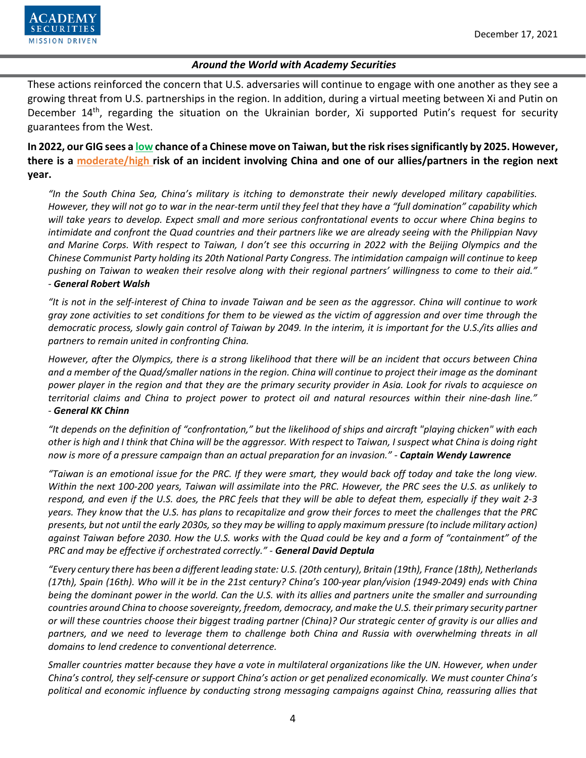

These actions reinforced the concern that U.S. adversaries will continue to engage with one another as they see a growing threat from U.S. partnerships in the region. In addition, during a virtual meeting between Xi and Putin on December 14<sup>th</sup>, regarding the situation on the Ukrainian border, Xi supported Putin's request for security guarantees from the West.

**In 2022, our GIG sees a low chance of a Chinese move on Taiwan, but the risk rises significantly by 2025. However, there is a moderate/high risk of an incident involving China and one of our allies/partners in the region next year.**

*"In the South China Sea, China's military is itching to demonstrate their newly developed military capabilities. However, they will not go to war in the near-term until they feel that they have a "full domination" capability which will take years to develop. Expect small and more serious confrontational events to occur where China begins to intimidate and confront the Quad countries and their partners like we are already seeing with the Philippian Navy and Marine Corps. With respect to Taiwan, I don't see this occurring in 2022 with the Beijing Olympics and the Chinese Communist Party holding its 20th National Party Congress. The intimidation campaign will continue to keep pushing on Taiwan to weaken their resolve along with their regional partners' willingness to come to their aid." - General Robert Walsh*

*"It is not in the self-interest of China to invade Taiwan and be seen as the aggressor. China will continue to work gray zone activities to set conditions for them to be viewed as the victim of aggression and over time through the democratic process, slowly gain control of Taiwan by 2049. In the interim, it is important for the U.S./its allies and partners to remain united in confronting China.*

*However, after the Olympics, there is a strong likelihood that there will be an incident that occurs between China and a member of the Quad/smaller nations in the region. China will continue to project their image as the dominant power player in the region and that they are the primary security provider in Asia. Look for rivals to acquiesce on territorial claims and China to project power to protect oil and natural resources within their nine-dash line." - General KK Chinn*

*"It depends on the definition of "confrontation," but the likelihood of ships and aircraft "playing chicken" with each other is high and I think that China will be the aggressor. With respect to Taiwan, I suspect what China is doing right now is more of a pressure campaign than an actual preparation for an invasion." - Captain Wendy Lawrence*

*"Taiwan is an emotional issue for the PRC. If they were smart, they would back off today and take the long view. Within the next 100-200 years, Taiwan will assimilate into the PRC. However, the PRC sees the U.S. as unlikely to respond, and even if the U.S. does, the PRC feels that they will be able to defeat them, especially if they wait 2-3 years. They know that the U.S. has plans to recapitalize and grow their forces to meet the challenges that the PRC presents, but not until the early 2030s, so they may be willing to apply maximum pressure (to include military action) against Taiwan before 2030. How the U.S. works with the Quad could be key and a form of "containment" of the PRC and may be effective if orchestrated correctly." - General David Deptula*

*"Every century there has been a different leading state: U.S. (20th century), Britain (19th), France (18th), Netherlands (17th), Spain (16th). Who will it be in the 21st century? China's 100-year plan/vision (1949-2049) ends with China being the dominant power in the world. Can the U.S. with its allies and partners unite the smaller and surrounding countries around China to choose sovereignty, freedom, democracy, and make the U.S. their primary security partner or will these countries choose their biggest trading partner (China)? Our strategic center of gravity is our allies and partners, and we need to leverage them to challenge both China and Russia with overwhelming threats in all domains to lend credence to conventional deterrence.* 

*Smaller countries matter because they have a vote in multilateral organizations like the UN. However, when under China's control, they self-censure or support China's action or get penalized economically. We must counter China's political and economic influence by conducting strong messaging campaigns against China, reassuring allies that*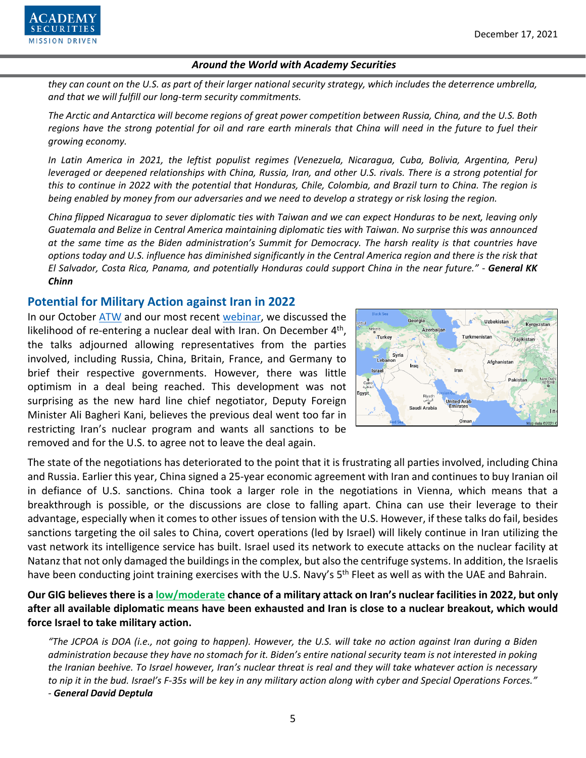

*they can count on the U.S. as part of their larger national security strategy, which includes the deterrence umbrella, and that we will fulfill our long-term security commitments.* 

*The Arctic and Antarctica will become regions of great power competition between Russia, China, and the U.S. Both regions have the strong potential for oil and rare earth minerals that China will need in the future to fuel their growing economy.* 

*In Latin America in 2021, the leftist populist regimes (Venezuela, Nicaragua, Cuba, Bolivia, Argentina, Peru) leveraged or deepened relationships with China, Russia, Iran, and other U.S. rivals. There is a strong potential for this to continue in 2022 with the potential that Honduras, Chile, Colombia, and Brazil turn to China. The region is being enabled by money from our adversaries and we need to develop a strategy or risk losing the region.* 

*China flipped Nicaragua to sever diplomatic ties with Taiwan and we can expect Honduras to be next, leaving only Guatemala and Belize in Central America maintaining diplomatic ties with Taiwan. No surprise this was announced at the same time as the Biden administration's Summit for Democracy. The harsh reality is that countries have options today and U.S. influence has diminished significantly in the Central America region and there is the risk that El Salvador, Costa Rica, Panama, and potentially Honduras could support China in the near future." - General KK Chinn*

## **Potential for Military Action against Iran in 2022**

In our October [ATW](https://www.academysecurities.com/wordpress/wp-content/uploads/2021/10/Around-the-World-with-Academy-Securities_10_27_21.pdf) and our most recent [webinar,](https://www.youtube.com/watch?v=2q5DltN_WCY) we discussed the likelihood of re-entering a nuclear deal with Iran. On December 4<sup>th</sup>, the talks adjourned allowing representatives from the parties involved, including Russia, China, Britain, France, and Germany to brief their respective governments. However, there was little optimism in a deal being reached. This development was not surprising as the new hard line chief negotiator, Deputy Foreign Minister Ali Bagheri Kani, believes the previous deal went too far in restricting Iran's nuclear program and wants all sanctions to be removed and for the U.S. to agree not to leave the deal again.



The state of the negotiations has deteriorated to the point that it is frustrating all parties involved, including China and Russia. Earlier this year, China signed a 25-year economic agreement with Iran and continues to buy Iranian oil in defiance of U.S. sanctions. China took a larger role in the negotiations in Vienna, which means that a breakthrough is possible, or the discussions are close to falling apart. China can use their leverage to their advantage, especially when it comes to other issues of tension with the U.S. However, if these talks do fail, besides sanctions targeting the oil sales to China, covert operations (led by Israel) will likely continue in Iran utilizing the vast network its intelligence service has built. Israel used its network to execute attacks on the nuclear facility at Natanz that not only damaged the buildings in the complex, but also the centrifuge systems. In addition, the Israelis have been conducting joint training exercises with the U.S. Navy's 5<sup>th</sup> Fleet as well as with the UAE and Bahrain.

**Our GIG believes there is a low/moderate chance of a military attack on Iran's nuclear facilities in 2022, but only after all available diplomatic means have been exhausted and Iran is close to a nuclear breakout, which would force Israel to take military action.** 

*"The JCPOA is DOA (i.e., not going to happen). However, the U.S. will take no action against Iran during a Biden administration because they have no stomach for it. Biden's entire national security team is not interested in poking the Iranian beehive. To Israel however, Iran's nuclear threat is real and they will take whatever action is necessary to nip it in the bud. Israel's F-35s will be key in any military action along with cyber and Special Operations Forces." - General David Deptula*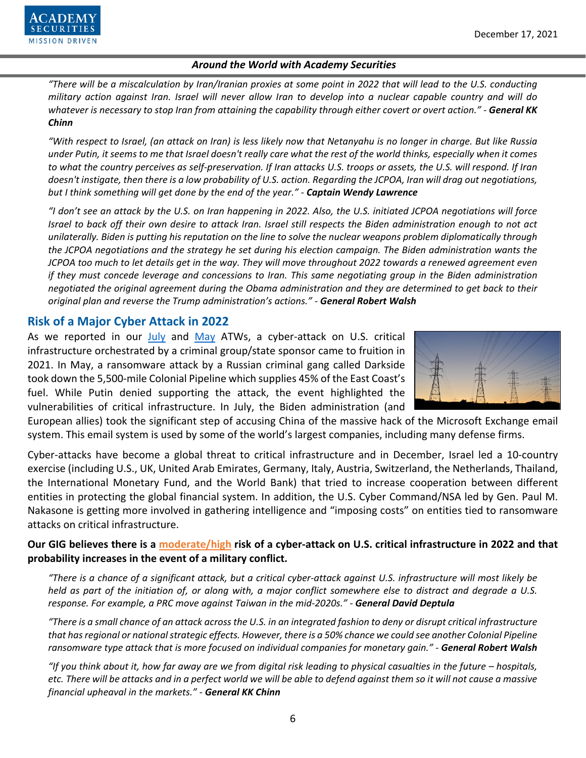

*"There will be a miscalculation by Iran/Iranian proxies at some point in 2022 that will lead to the U.S. conducting military action against Iran. Israel will never allow Iran to develop into a nuclear capable country and will do whatever is necessary to stop Iran from attaining the capability through either covert or overt action." - General KK Chinn*

*"With respect to Israel, (an attack on Iran) is less likely now that Netanyahu is no longer in charge. But like Russia under Putin, it seems to me that Israel doesn't really care what the rest of the world thinks, especially when it comes to what the country perceives as self-preservation. If Iran attacks U.S. troops or assets, the U.S. will respond. If Iran doesn't instigate, then there is a low probability of U.S. action. Regarding the JCPOA, Iran will drag out negotiations, but I think something will get done by the end of the year." - Captain Wendy Lawrence*

*"I don't see an attack by the U.S. on Iran happening in 2022. Also, the U.S. initiated JCPOA negotiations will force Israel to back off their own desire to attack Iran. Israel still respects the Biden administration enough to not act unilaterally. Biden is putting his reputation on the line to solve the nuclear weapons problem diplomatically through the JCPOA negotiations and the strategy he set during his election campaign. The Biden administration wants the JCPOA too much to let details get in the way. They will move throughout 2022 towards a renewed agreement even if they must concede leverage and concessions to Iran. This same negotiating group in the Biden administration negotiated the original agreement during the Obama administration and they are determined to get back to their original plan and reverse the Trump administration's actions." - General Robert Walsh*

# **Risk of a Major Cyber Attack in 2022**

As we reported in our [July](https://www.academysecurities.com/wordpress/wp-content/uploads/2021/07/Around-the-World-with-Academy-Securities-7.28.21.pdf) and [May](https://www.academysecurities.com/wordpress/wp-content/uploads/2021/05/Around-the-World-with-Academy-Securities_5-27-21.pdf) ATWs, a cyber-attack on U.S. critical infrastructure orchestrated by a criminal group/state sponsor came to fruition in 2021. In May, a ransomware attack by a Russian criminal gang called Darkside took down the 5,500-mile Colonial Pipeline which supplies 45% of the East Coast's fuel. While Putin denied supporting the attack, the event highlighted the vulnerabilities of critical infrastructure. In July, the Biden administration (and



European allies) took the significant step of accusing China of the massive hack of the Microsoft Exchange email system. This email system is used by some of the world's largest companies, including many defense firms.

Cyber-attacks have become a global threat to critical infrastructure and in December, Israel led a 10-country exercise (including U.S., UK, United Arab Emirates, Germany, Italy, Austria, Switzerland, the Netherlands, Thailand, the International Monetary Fund, and the World Bank) that tried to increase cooperation between different entities in protecting the global financial system. In addition, the U.S. Cyber Command/NSA led by Gen. Paul M. Nakasone is getting more involved in gathering intelligence and "imposing costs" on entities tied to ransomware attacks on critical infrastructure.

# **Our GIG believes there is a moderate/high risk of a cyber-attack on U.S. critical infrastructure in 2022 and that probability increases in the event of a military conflict.**

*"There is a chance of a significant attack, but a critical cyber-attack against U.S. infrastructure will most likely be held as part of the initiation of, or along with, a major conflict somewhere else to distract and degrade a U.S. response. For example, a PRC move against Taiwan in the mid-2020s." - General David Deptula*

*"There is a small chance of an attack across the U.S. in an integrated fashion to deny or disrupt critical infrastructure that hasregional or national strategic effects. However, there is a 50% chance we could see another Colonial Pipeline ransomware type attack that is more focused on individual companies for monetary gain." - General Robert Walsh*

*"If you think about it, how far away are we from digital risk leading to physical casualties in the future – hospitals, etc. There will be attacks and in a perfect world we will be able to defend against them so it will not cause a massive financial upheaval in the markets." - General KK Chinn*